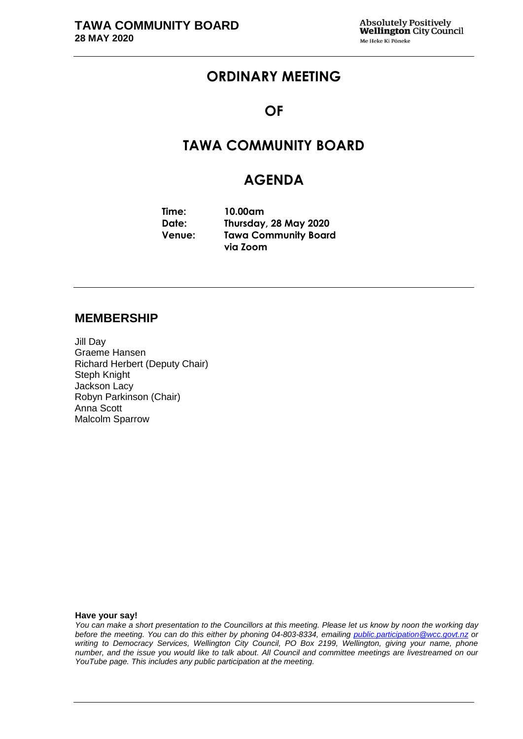# **ORDINARY MEETING**

## **OF**

# **TAWA COMMUNITY BOARD**

## **AGENDA**

**Time: Date: Venue: 10.00am Thursday, 28 May 2020 Tawa Community Board via Zoom** 

## **MEMBERSHIP**

Jill Day Graeme Hansen Richard Herbert (Deputy Chair) Steph Knight Jackson Lacy Robyn Parkinson (Chair) Anna Scott Malcolm Sparrow

#### **Have your say!**

*You can make a short presentation to the Councillors at this meeting. Please let us know by noon the working day before the meeting. You can do this either by phoning 04-803-8334, emailing public.participation@wcc.govt.nz or writing to Democracy Services, Wellington City Council, PO Box 2199, Wellington, giving your name, phone number, and the issue you would like to talk about. All Council and committee meetings are livestreamed on our YouTube page. This includes any public participation at the meeting.*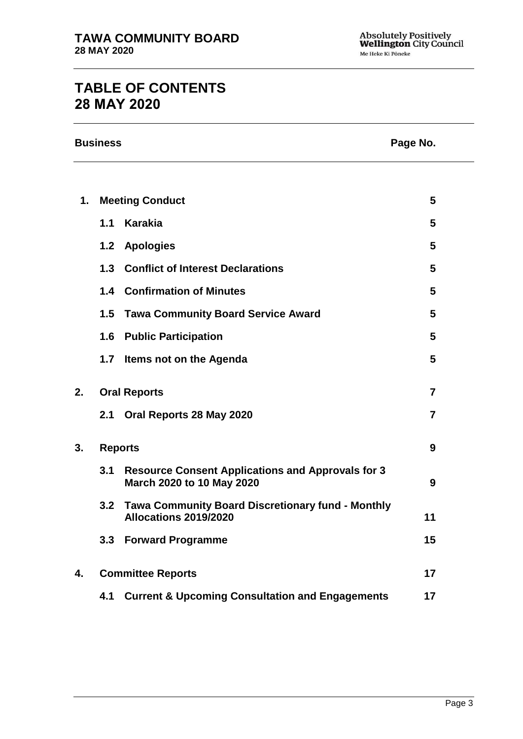# **TABLE OF CONTENTS 28 MAY 2020**

|               | <b>Business</b> |                                                                                       | Page No.       |  |
|---------------|-----------------|---------------------------------------------------------------------------------------|----------------|--|
|               |                 |                                                                                       |                |  |
| $\mathbf 1$ . |                 | <b>Meeting Conduct</b>                                                                | 5              |  |
|               | 1.1             | <b>Karakia</b>                                                                        | 5              |  |
|               | 1.2             | <b>Apologies</b>                                                                      | 5              |  |
|               | 1.3             | <b>Conflict of Interest Declarations</b>                                              | 5              |  |
|               | 1.4             | <b>Confirmation of Minutes</b>                                                        | 5              |  |
|               |                 | 1.5 Tawa Community Board Service Award                                                | 5              |  |
|               | 1.6             | <b>Public Participation</b>                                                           | 5              |  |
|               | 1.7             | Items not on the Agenda                                                               | 5              |  |
| 2.            |                 | <b>Oral Reports</b>                                                                   | $\overline{7}$ |  |
|               | 2.1             | Oral Reports 28 May 2020                                                              | $\overline{7}$ |  |
| 3.            |                 | <b>Reports</b>                                                                        | 9              |  |
|               | 3.1             | <b>Resource Consent Applications and Approvals for 3</b><br>March 2020 to 10 May 2020 | 9              |  |
|               | 3.2             | <b>Tawa Community Board Discretionary fund - Monthly</b><br>Allocations 2019/2020     | 11             |  |
|               | 3.3             | <b>Forward Programme</b>                                                              | 15             |  |
| 4.            |                 | <b>Committee Reports</b>                                                              | 17             |  |
|               | 4.1             | <b>Current &amp; Upcoming Consultation and Engagements</b>                            | 17             |  |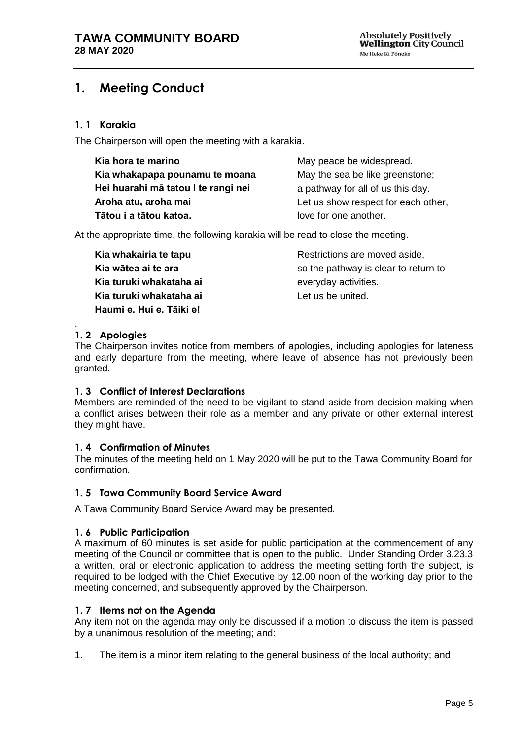# <span id="page-4-0"></span>**1. Meeting Conduct**

## **1. 1 Karakia**

The Chairperson will open the meeting with a karakia.

| Kia hora te marino                  | May peace be widespread.            |
|-------------------------------------|-------------------------------------|
| Kia whakapapa pounamu te moana      | May the sea be like greenstone;     |
| Hei huarahi mā tatou I te rangi nei | a pathway for all of us this day.   |
| Aroha atu, aroha mai                | Let us show respect for each other, |
| Tātou i a tātou katoa.              | love for one another.               |

At the appropriate time, the following karakia will be read to close the meeting.

**Kia whakairia te tapu Kia wātea ai te ara Kia turuki whakataha ai Kia turuki whakataha ai Haumi e. Hui e. Tāiki e!**

Restrictions are moved aside, so the pathway is clear to return to everyday activities. Let us be united.

#### <span id="page-4-1"></span>. **1. 2 Apologies**

The Chairperson invites notice from members of apologies, including apologies for lateness and early departure from the meeting, where leave of absence has not previously been granted.

### <span id="page-4-2"></span>**1. 3 Conflict of Interest Declarations**

Members are reminded of the need to be vigilant to stand aside from decision making when a conflict arises between their role as a member and any private or other external interest they might have.

### <span id="page-4-3"></span>**1. 4 Confirmation of Minutes**

The minutes of the meeting held on 1 May 2020 will be put to the Tawa Community Board for confirmation.

### <span id="page-4-4"></span>**1. 5 Tawa Community Board Service Award**

A Tawa Community Board Service Award may be presented.

### <span id="page-4-6"></span>**1. 6 Public Participation**

A maximum of 60 minutes is set aside for public participation at the commencement of any meeting of the Council or committee that is open to the public. Under Standing Order 3.23.3 a written, oral or electronic application to address the meeting setting forth the subject, is required to be lodged with the Chief Executive by 12.00 noon of the working day prior to the meeting concerned, and subsequently approved by the Chairperson.

### <span id="page-4-5"></span>**1. 7 Items not on the Agenda**

Any item not on the agenda may only be discussed if a motion to discuss the item is passed by a unanimous resolution of the meeting; and:

1. The item is a minor item relating to the general business of the local authority; and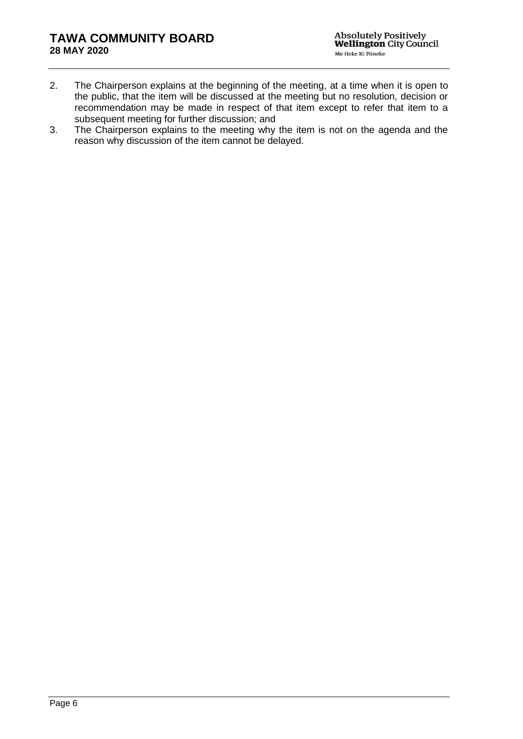- 2. The Chairperson explains at the beginning of the meeting, at a time when it is open to the public, that the item will be discussed at the meeting but no resolution, decision or recommendation may be made in respect of that item except to refer that item to a subsequent meeting for further discussion; and
- 3. The Chairperson explains to the meeting why the item is not on the agenda and the reason why discussion of the item cannot be delayed.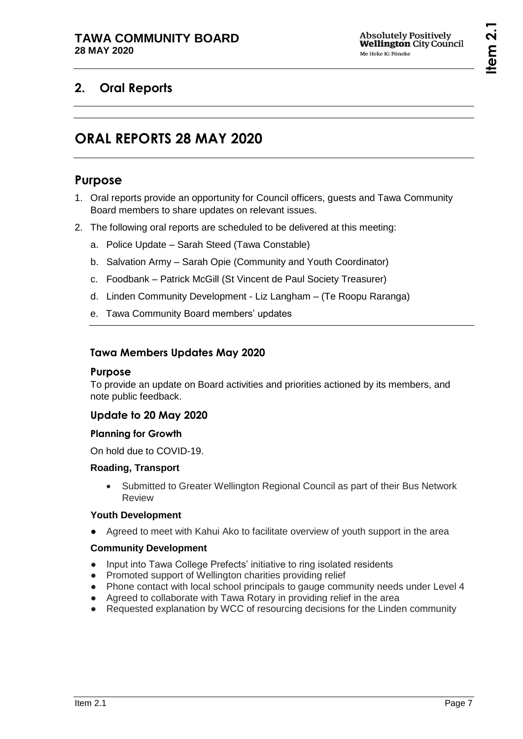# <span id="page-6-1"></span><span id="page-6-0"></span>**2. Oral Reports**

# **ORAL REPORTS 28 MAY 2020**

## **Purpose**

- 1. Oral reports provide an opportunity for Council officers, guests and Tawa Community Board members to share updates on relevant issues.
- 2. The following oral reports are scheduled to be delivered at this meeting:
	- a. Police Update Sarah Steed (Tawa Constable)
	- b. Salvation Army Sarah Opie (Community and Youth Coordinator)
	- c. Foodbank Patrick McGill (St Vincent de Paul Society Treasurer)
	- d. Linden Community Development Liz Langham (Te Roopu Raranga)
	- e. Tawa Community Board members' updates

## **Tawa Members Updates May 2020**

### **Purpose**

To provide an update on Board activities and priorities actioned by its members, and note public feedback.

## **Update to 20 May 2020**

### **Planning for Growth**

On hold due to COVID-19.

### **Roading, Transport**

 Submitted to Greater Wellington Regional Council as part of their Bus Network Review

### **Youth Development**

● Agreed to meet with Kahui Ako to facilitate overview of youth support in the area

### **Community Development**

- Input into Tawa College Prefects' initiative to ring isolated residents
- Promoted support of Wellington charities providing relief
- Phone contact with local school principals to gauge community needs under Level 4
- Agreed to collaborate with Tawa Rotary in providing relief in the area
- Requested explanation by WCC of resourcing decisions for the Linden community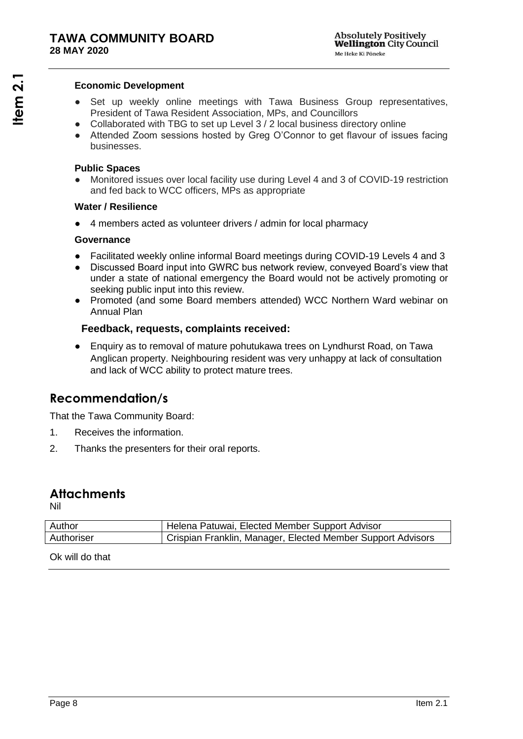#### **Economic Development**

- Set up weekly online meetings with Tawa Business Group representatives, President of Tawa Resident Association, MPs, and Councillors
- Collaborated with TBG to set up Level 3 / 2 local business directory online
- Attended Zoom sessions hosted by Greg O'Connor to get flavour of issues facing businesses.

### **Public Spaces**

Monitored issues over local facility use during Level 4 and 3 of COVID-19 restriction and fed back to WCC officers, MPs as appropriate

### **Water / Resilience**

4 members acted as volunteer drivers / admin for local pharmacy

### **Governance**

- Facilitated weekly online informal Board meetings during COVID-19 Levels 4 and 3
- Discussed Board input into GWRC bus network review, conveyed Board's view that under a state of national emergency the Board would not be actively promoting or seeking public input into this review.
- Promoted (and some Board members attended) WCC Northern Ward webinar on Annual Plan

## **Feedback, requests, complaints received:**

● Enquiry as to removal of mature pohutukawa trees on Lyndhurst Road, on Tawa Anglican property. Neighbouring resident was very unhappy at lack of consultation and lack of WCC ability to protect mature trees.

## **Recommendation/s**

That the Tawa Community Board:

- 1. Receives the information.
- 2. Thanks the presenters for their oral reports.

## **Attachments**

Nil

| Author     | Helena Patuwai, Elected Member Support Advisor              |
|------------|-------------------------------------------------------------|
| Authoriser | Crispian Franklin, Manager, Elected Member Support Advisors |
|            |                                                             |

Ok will do that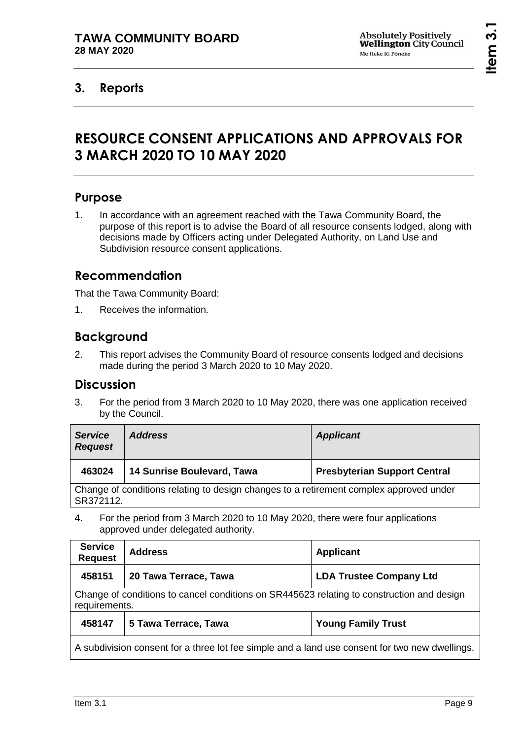# <span id="page-8-1"></span><span id="page-8-0"></span>**3. Reports**

# **RESOURCE CONSENT APPLICATIONS AND APPROVALS FOR 3 MARCH 2020 TO 10 MAY 2020**

## **Purpose**

1. In accordance with an agreement reached with the Tawa Community Board, the purpose of this report is to advise the Board of all resource consents lodged, along with decisions made by Officers acting under Delegated Authority, on Land Use and Subdivision resource consent applications.

## **Recommendation**

That the Tawa Community Board:

1. Receives the information.

## **Background**

2. This report advises the Community Board of resource consents lodged and decisions made during the period 3 March 2020 to 10 May 2020.

## **Discussion**

3. For the period from 3 March 2020 to 10 May 2020, there was one application received by the Council.

| <b>Service</b><br><b>Request</b>                                                                    | <b>Address</b>             | <b>Applicant</b>                    |
|-----------------------------------------------------------------------------------------------------|----------------------------|-------------------------------------|
| 463024                                                                                              | 14 Sunrise Boulevard, Tawa | <b>Presbyterian Support Central</b> |
| Change of conditions relating to design changes to a retirement complex approved under<br>SR372112. |                            |                                     |
|                                                                                                     |                            |                                     |

4. For the period from 3 March 2020 to 10 May 2020, there were four applications approved under delegated authority.

| <b>Service</b><br><b>Request</b>                                                                           | <b>Address</b>        | <b>Applicant</b>               |
|------------------------------------------------------------------------------------------------------------|-----------------------|--------------------------------|
| 458151                                                                                                     | 20 Tawa Terrace, Tawa | <b>LDA Trustee Company Ltd</b> |
| Change of conditions to cancel conditions on SR445623 relating to construction and design<br>requirements. |                       |                                |
| 458147                                                                                                     | 5 Tawa Terrace, Tawa  | <b>Young Family Trust</b>      |
| A subdivision consent for a three lot fee simple and a land use consent for two new dwellings.             |                       |                                |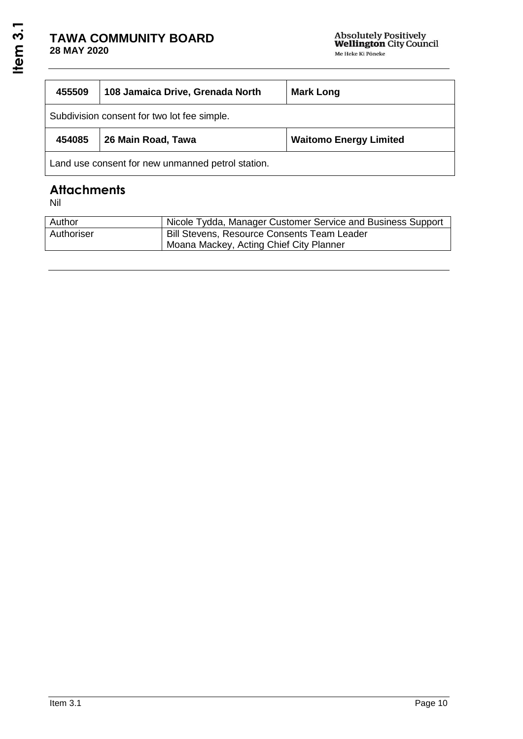| 455509                                            | 108 Jamaica Drive, Grenada North | <b>Mark Long</b>              |
|---------------------------------------------------|----------------------------------|-------------------------------|
| Subdivision consent for two lot fee simple.       |                                  |                               |
| 454085                                            | 26 Main Road, Tawa               | <b>Waitomo Energy Limited</b> |
| Land use consent for new unmanned petrol station. |                                  |                               |

# **Attachments**

Nil

| Author     | Nicole Tydda, Manager Customer Service and Business Support |
|------------|-------------------------------------------------------------|
| Authoriser | <b>Bill Stevens, Resource Consents Team Leader</b>          |
|            | Moana Mackey, Acting Chief City Planner                     |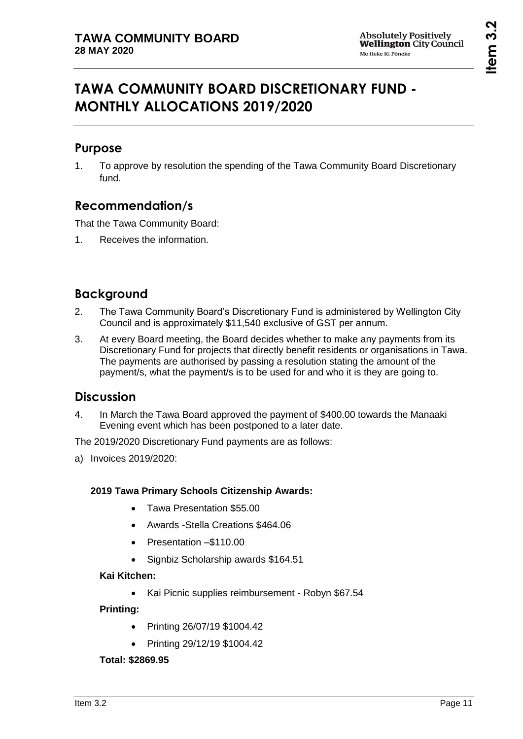# <span id="page-10-0"></span>**TAWA COMMUNITY BOARD DISCRETIONARY FUND - MONTHLY ALLOCATIONS 2019/2020**

# **Purpose**

1. To approve by resolution the spending of the Tawa Community Board Discretionary fund.

# **Recommendation/s**

That the Tawa Community Board:

1. Receives the information.

# **Background**

- 2. The Tawa Community Board's Discretionary Fund is administered by Wellington City Council and is approximately \$11,540 exclusive of GST per annum.
- 3. At every Board meeting, the Board decides whether to make any payments from its Discretionary Fund for projects that directly benefit residents or organisations in Tawa. The payments are authorised by passing a resolution stating the amount of the payment/s, what the payment/s is to be used for and who it is they are going to.

## **Discussion**

4. In March the Tawa Board approved the payment of \$400.00 towards the Manaaki Evening event which has been postponed to a later date.

The 2019/2020 Discretionary Fund payments are as follows:

a) Invoices 2019/2020:

## **2019 Tawa Primary Schools Citizenship Awards:**

- Tawa Presentation \$55.00
- Awards -Stella Creations \$464.06
- Presentation –\$110.00
- Signbiz Scholarship awards \$164.51

## **Kai Kitchen:**

Kai Picnic supplies reimbursement - Robyn \$67.54

## **Printing:**

- Printing 26/07/19 \$1004.42
- Printing 29/12/19 \$1004.42

## **Total: \$2869.95**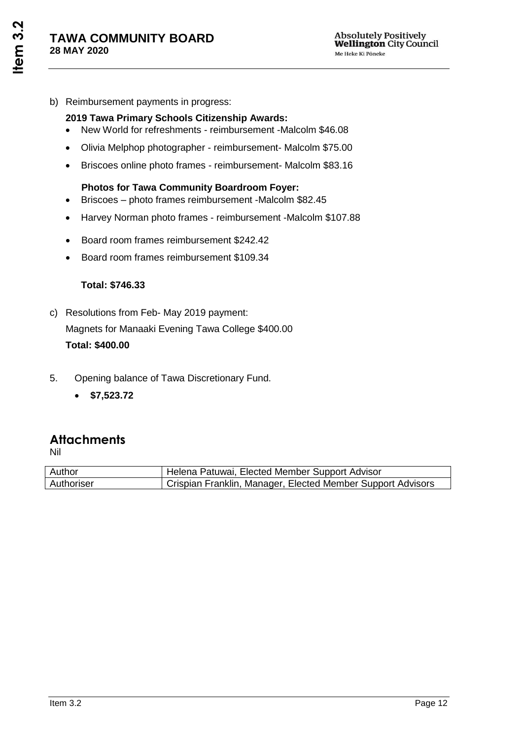b) Reimbursement payments in progress:

## **2019 Tawa Primary Schools Citizenship Awards:**

- New World for refreshments reimbursement -Malcolm \$46.08
- Olivia Melphop photographer reimbursement- Malcolm \$75.00
- Briscoes online photo frames reimbursement- Malcolm \$83.16

## **Photos for Tawa Community Boardroom Foyer:**

- Briscoes photo frames reimbursement -Malcolm \$82.45
- Harvey Norman photo frames reimbursement -Malcolm \$107.88
- Board room frames reimbursement \$242.42
- Board room frames reimbursement \$109.34

## **Total: \$746.33**

- c) Resolutions from Feb- May 2019 payment: Magnets for Manaaki Evening Tawa College \$400.00 **Total: \$400.00**
- 5. Opening balance of Tawa Discretionary Fund.
	- **\$7,523.72**

# **Attachments**

Nil

| Author     | I Helena Patuwai, Elected Member Support Advisor            |  |
|------------|-------------------------------------------------------------|--|
| Authoriser | Crispian Franklin, Manager, Elected Member Support Advisors |  |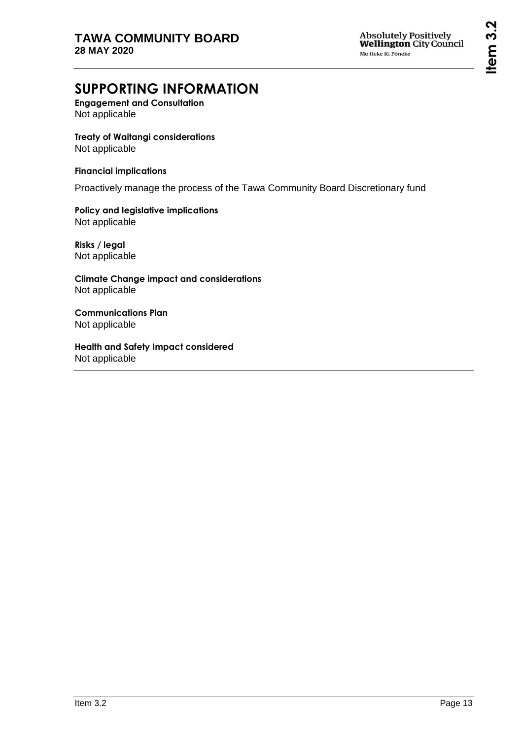# **SUPPORTING INFORMATION**

**Engagement and Consultation** Not applicable

**Treaty of Waitangi considerations** Not applicable

### **Financial implications**

Proactively manage the process of the Tawa Community Board Discretionary fund

**Policy and legislative implications** Not applicable

**Risks / legal**  Not applicable

**Climate Change impact and considerations** Not applicable

**Communications Plan** Not applicable

**Health and Safety Impact considered** Not applicable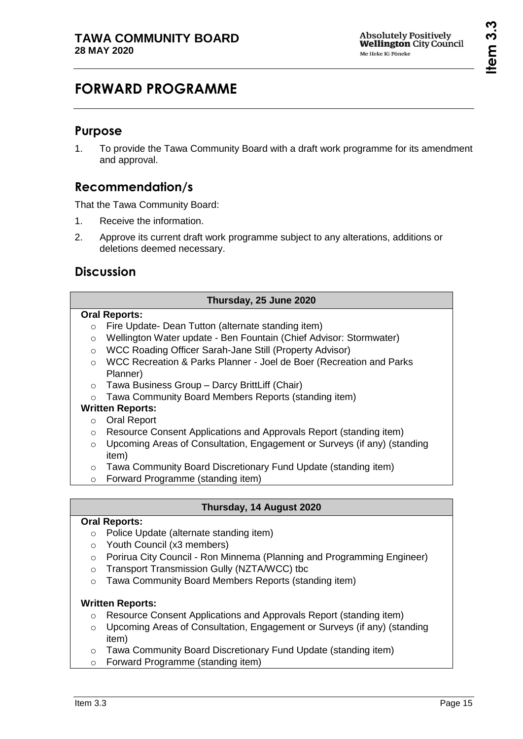# <span id="page-14-0"></span>**FORWARD PROGRAMME**

# **Purpose**

1. To provide the Tawa Community Board with a draft work programme for its amendment and approval.

# **Recommendation/s**

That the Tawa Community Board:

- 1. Receive the information.
- 2. Approve its current draft work programme subject to any alterations, additions or deletions deemed necessary.

# **Discussion**

## **Thursday, 25 June 2020**

### **Oral Reports:**

- o Fire Update- Dean Tutton (alternate standing item)
- o Wellington Water update Ben Fountain (Chief Advisor: Stormwater)
- o WCC Roading Officer Sarah-Jane Still (Property Advisor)
- o WCC Recreation & Parks Planner Joel de Boer (Recreation and Parks Planner)
- o Tawa Business Group Darcy BrittLiff (Chair)
- o Tawa Community Board Members Reports (standing item)

## **Written Reports:**

- o Oral Report
- o Resource Consent Applications and Approvals Report (standing item)
- $\circ$  Upcoming Areas of Consultation, Engagement or Surveys (if any) (standing item)
- o Tawa Community Board Discretionary Fund Update (standing item)
- o Forward Programme (standing item)

## **Thursday, 14 August 2020**

## **Oral Reports:**

- o Police Update (alternate standing item)
- o Youth Council (x3 members)
- o Porirua City Council Ron Minnema (Planning and Programming Engineer)
- o Transport Transmission Gully (NZTA/WCC) tbc
- o Tawa Community Board Members Reports (standing item)

## **Written Reports:**

- o Resource Consent Applications and Approvals Report (standing item)
- o Upcoming Areas of Consultation, Engagement or Surveys (if any) (standing item)
- o Tawa Community Board Discretionary Fund Update (standing item)
- o Forward Programme (standing item)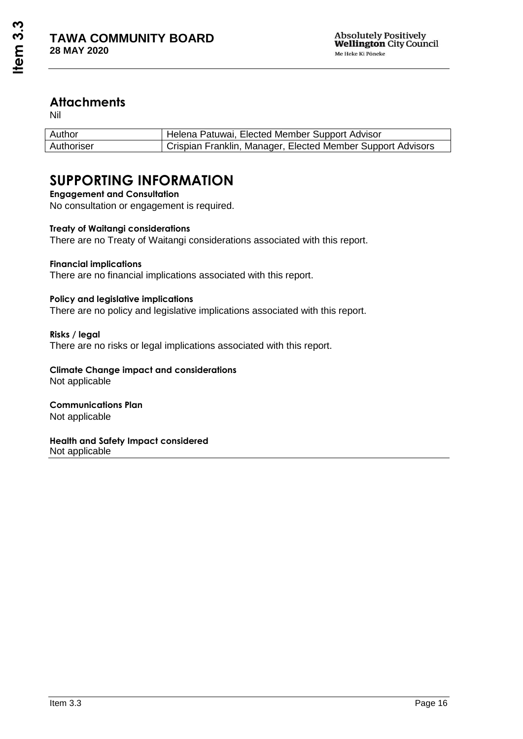## **Attachments**

Nil

| Author     | Helena Patuwai, Elected Member Support Advisor              |
|------------|-------------------------------------------------------------|
| Authoriser | Crispian Franklin, Manager, Elected Member Support Advisors |

# **SUPPORTING INFORMATION**

**Engagement and Consultation** No consultation or engagement is required.

## **Treaty of Waitangi considerations**

There are no Treaty of Waitangi considerations associated with this report.

### **Financial implications**

There are no financial implications associated with this report.

### **Policy and legislative implications**

There are no policy and legislative implications associated with this report.

**Risks / legal**  There are no risks or legal implications associated with this report.

**Climate Change impact and considerations** Not applicable

**Communications Plan** Not applicable

**Health and Safety Impact considered** Not applicable